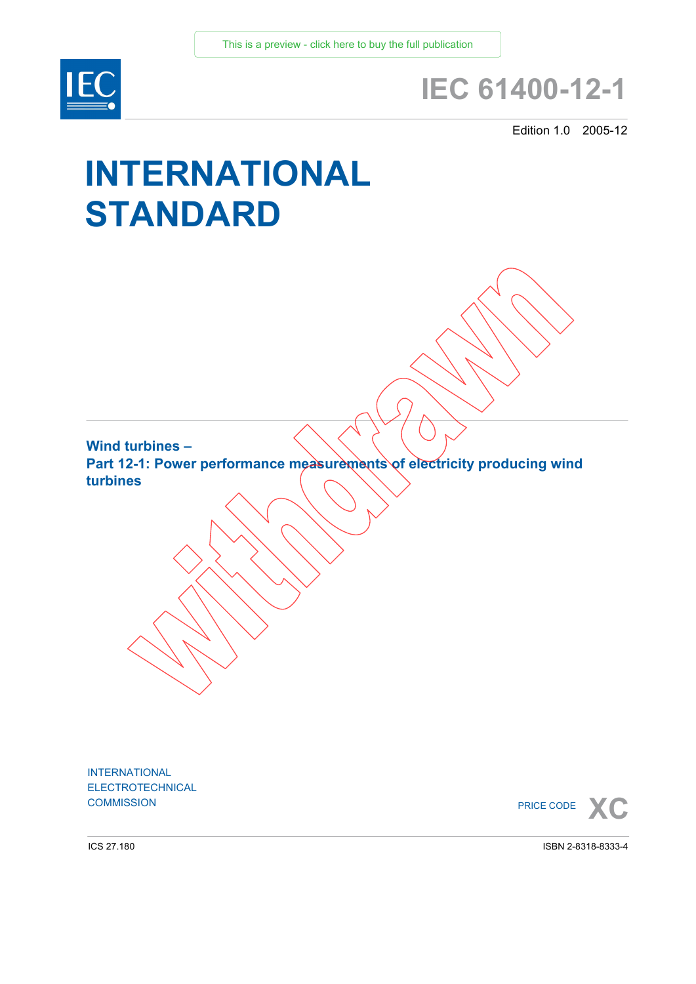

# **IEC 61400-12-1**

Edition 1.0 2005-12

# **INTERNATIONAL STANDARD**

**Wind turbines –**  Part 12-1: Power performance measurements of electricity producing wind **turbines** 

INTERNATIONAL **ELECTROTECHNICAL** 



ICS 27.180

ISBN 2-8318-8333-4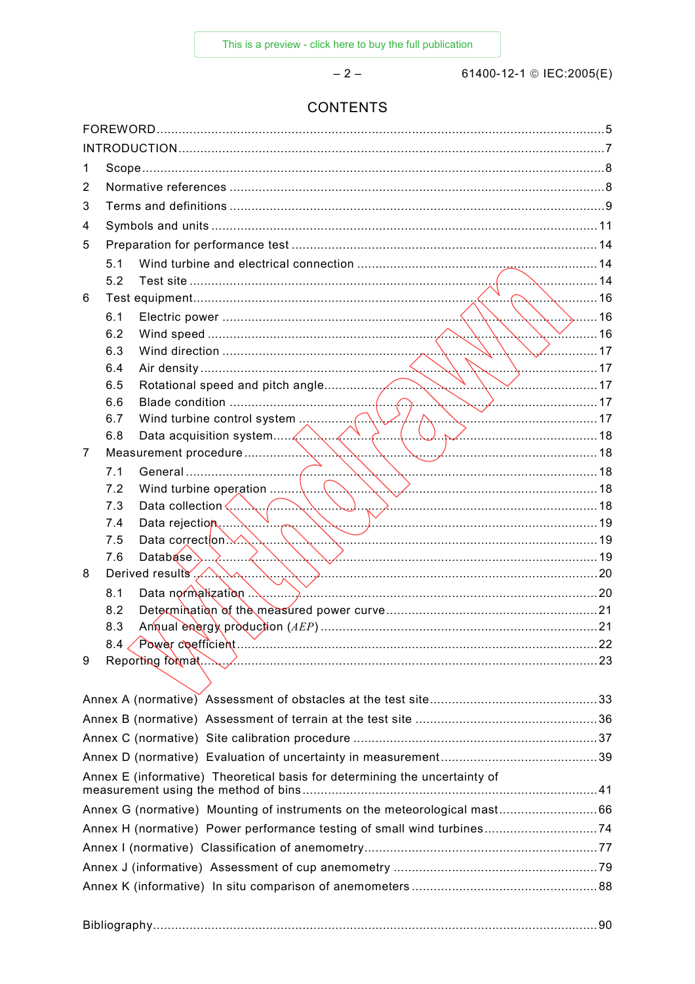61400-12-1 © IEC:2005(E)

# **CONTENTS**

 $-2-$ 

| 1                                                                        |                                                                                                                                                                                                                                                                                                                                                                                                                               |  |  |  |
|--------------------------------------------------------------------------|-------------------------------------------------------------------------------------------------------------------------------------------------------------------------------------------------------------------------------------------------------------------------------------------------------------------------------------------------------------------------------------------------------------------------------|--|--|--|
| 2                                                                        |                                                                                                                                                                                                                                                                                                                                                                                                                               |  |  |  |
| 3                                                                        |                                                                                                                                                                                                                                                                                                                                                                                                                               |  |  |  |
| 4                                                                        |                                                                                                                                                                                                                                                                                                                                                                                                                               |  |  |  |
| 5                                                                        |                                                                                                                                                                                                                                                                                                                                                                                                                               |  |  |  |
|                                                                          | 5.1                                                                                                                                                                                                                                                                                                                                                                                                                           |  |  |  |
|                                                                          | 5.2                                                                                                                                                                                                                                                                                                                                                                                                                           |  |  |  |
| 6                                                                        |                                                                                                                                                                                                                                                                                                                                                                                                                               |  |  |  |
|                                                                          | $\ldots$ \efficients and 16<br>6.1                                                                                                                                                                                                                                                                                                                                                                                            |  |  |  |
|                                                                          | 、. , , , , , , , , , , 16<br>6.2                                                                                                                                                                                                                                                                                                                                                                                              |  |  |  |
|                                                                          | $\searrow$ $\searrow$ $\searrow$ $\searrow$ $\searrow$ $\searrow$ $\searrow$ $\searrow$ $\searrow$ $\searrow$ $\searrow$ $\searrow$ $\searrow$ $\searrow$ $\searrow$ $\searrow$ $\searrow$ $\searrow$ $\searrow$ $\searrow$ $\searrow$ $\searrow$ $\searrow$ $\searrow$ $\searrow$ $\searrow$ $\searrow$ $\searrow$ $\searrow$ $\searrow$ $\searrow$ $\searrow$ $\searrow$ $\searrow$ $\searrow$ $\searrow$ $\searrow$<br>6.3 |  |  |  |
|                                                                          | 6.4                                                                                                                                                                                                                                                                                                                                                                                                                           |  |  |  |
|                                                                          | $\sim$ 17<br>6.5                                                                                                                                                                                                                                                                                                                                                                                                              |  |  |  |
|                                                                          | 6.6                                                                                                                                                                                                                                                                                                                                                                                                                           |  |  |  |
|                                                                          | Wind turbine control system $\frac{1}{2}$<br>6.7                                                                                                                                                                                                                                                                                                                                                                              |  |  |  |
|                                                                          | $\bigcup$ $\bigvee$ $\bigvee$ $\bigvee$ $\bigvee$ $\bigvee$ $\bigvee$ $\bigvee$ $\bigvee$ $\bigvee$ $\bigvee$ $\bigvee$ $\bigvee$ $\bigvee$ $\bigvee$ $\bigvee$ $\bigvee$ $\bigvee$ $\bigvee$ $\bigvee$ $\bigvee$ $\bigvee$ $\bigvee$ $\bigvee$ $\bigvee$ $\bigvee$ $\bigvee$ $\bigvee$ $\bigvee$ $\bigvee$ $\bigvee$ $\bigvee$<br>6.8                                                                                        |  |  |  |
| 7                                                                        | $\sim$ 18                                                                                                                                                                                                                                                                                                                                                                                                                     |  |  |  |
|                                                                          | 7.1                                                                                                                                                                                                                                                                                                                                                                                                                           |  |  |  |
|                                                                          | 7.2                                                                                                                                                                                                                                                                                                                                                                                                                           |  |  |  |
|                                                                          | Data collection (Allen Allen)<br>$\begin{picture}(100,10) \put(0,0){\vector(1,0){10}} \put(15,0){\vector(1,0){10}} \put(15,0){\vector(1,0){10}} \put(15,0){\vector(1,0){10}} \put(15,0){\vector(1,0){10}} \put(15,0){\vector(1,0){10}} \put(15,0){\vector(1,0){10}} \put(15,0){\vector(1,0){10}} \put(15,0){\vector(1,0){10}} \put(15,0){\vector(1,0){10}} \put(15,0){\vector(1,0){10}} \put(15,0){\vector($<br>7.3           |  |  |  |
|                                                                          | 7.4                                                                                                                                                                                                                                                                                                                                                                                                                           |  |  |  |
|                                                                          | $\sim$ 19<br>Data correction<br>7.5                                                                                                                                                                                                                                                                                                                                                                                           |  |  |  |
|                                                                          | Database $\ldots$<br>7.6                                                                                                                                                                                                                                                                                                                                                                                                      |  |  |  |
| 8                                                                        |                                                                                                                                                                                                                                                                                                                                                                                                                               |  |  |  |
|                                                                          | 8.1                                                                                                                                                                                                                                                                                                                                                                                                                           |  |  |  |
|                                                                          | 8.2<br>8.3                                                                                                                                                                                                                                                                                                                                                                                                                    |  |  |  |
|                                                                          | 8.4                                                                                                                                                                                                                                                                                                                                                                                                                           |  |  |  |
| 9                                                                        | Reporting format 23                                                                                                                                                                                                                                                                                                                                                                                                           |  |  |  |
|                                                                          |                                                                                                                                                                                                                                                                                                                                                                                                                               |  |  |  |
|                                                                          |                                                                                                                                                                                                                                                                                                                                                                                                                               |  |  |  |
|                                                                          |                                                                                                                                                                                                                                                                                                                                                                                                                               |  |  |  |
|                                                                          |                                                                                                                                                                                                                                                                                                                                                                                                                               |  |  |  |
|                                                                          |                                                                                                                                                                                                                                                                                                                                                                                                                               |  |  |  |
|                                                                          |                                                                                                                                                                                                                                                                                                                                                                                                                               |  |  |  |
|                                                                          | Annex E (informative) Theoretical basis for determining the uncertainty of                                                                                                                                                                                                                                                                                                                                                    |  |  |  |
|                                                                          |                                                                                                                                                                                                                                                                                                                                                                                                                               |  |  |  |
| Annex G (normative) Mounting of instruments on the meteorological mast66 |                                                                                                                                                                                                                                                                                                                                                                                                                               |  |  |  |
| Annex H (normative) Power performance testing of small wind turbines74   |                                                                                                                                                                                                                                                                                                                                                                                                                               |  |  |  |
|                                                                          |                                                                                                                                                                                                                                                                                                                                                                                                                               |  |  |  |
|                                                                          |                                                                                                                                                                                                                                                                                                                                                                                                                               |  |  |  |
|                                                                          |                                                                                                                                                                                                                                                                                                                                                                                                                               |  |  |  |
|                                                                          |                                                                                                                                                                                                                                                                                                                                                                                                                               |  |  |  |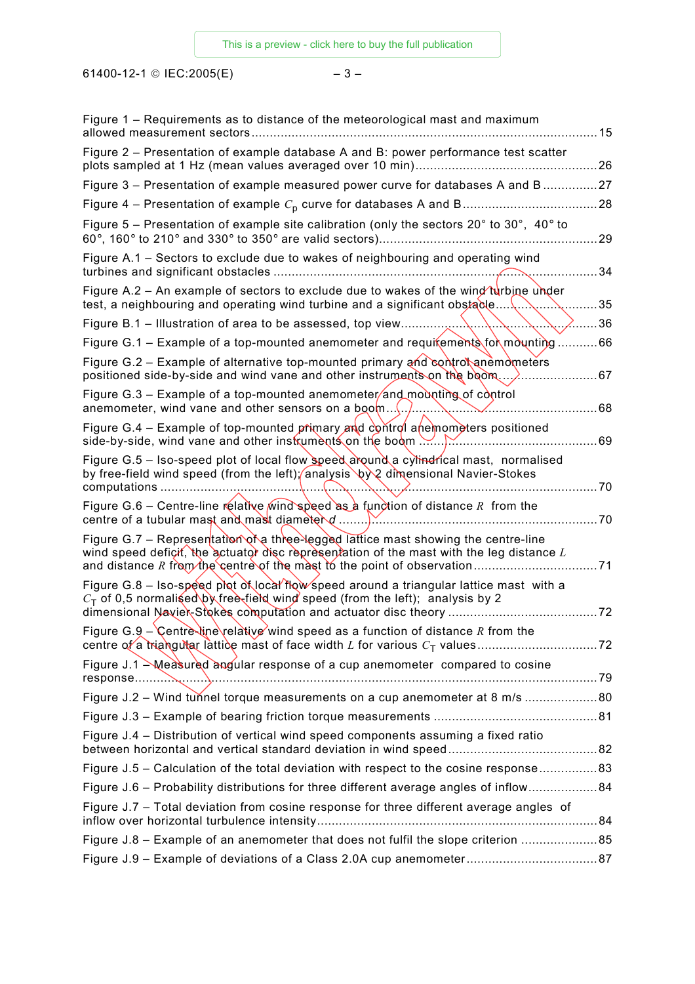61400-12-1 © IEC:2005(E)

| Figure 1 – Requirements as to distance of the meteorological mast and maximum<br>allowed measurement sectors                                                                                                                                               | 15 |
|------------------------------------------------------------------------------------------------------------------------------------------------------------------------------------------------------------------------------------------------------------|----|
| Figure 2 - Presentation of example database A and B: power performance test scatter<br>plots sampled at 1 Hz (mean values averaged over 10 min)                                                                                                            | 26 |
| Figure 3 – Presentation of example measured power curve for databases A and B                                                                                                                                                                              | 27 |
|                                                                                                                                                                                                                                                            | 28 |
| Figure 5 – Presentation of example site calibration (only the sectors 20 $^{\circ}$ to 30 $^{\circ}$ , 40 $^{\circ}$ to<br>$60^\circ$ , 160° to 210° and 330° to 350° are valid sectors)                                                                   | 29 |
| Figure A.1 – Sectors to exclude due to wakes of neighbouring and operating wind                                                                                                                                                                            | 34 |
| Figure A.2 – An example of sectors to exclude due to wakes of the wind turbine under<br>test, a neighbouring and operating wind turbine and a significant obstacle                                                                                         | 35 |
| Figure B.1 – Illustration of area to be assessed, top view                                                                                                                                                                                                 | 36 |
| Figure G.1 – Example of a top-mounted anemometer and requirements for mounting                                                                                                                                                                             | 66 |
| Figure G.2 – Example of alternative top-mounted primary and control anemometers<br>positioned side-by-side and wind vane and other instruments on the boom                                                                                                 | 67 |
| Figure G.3 - Example of a top-mounted anemometer/and mounting of control<br>anemometer, wind vane and other sensors on a boom                                                                                                                              | 68 |
| Figure G.4 – Example of top-mounted primary and control anemometers positioned<br>side-by-side, wind vane and other instruments on the boom                                                                                                                | 69 |
| Figure G.5 - Iso-speed plot of local flow speed around a cylindrical mast, normalised<br>by free-field wind speed (from the left); analysis by 2 dimensional Navier-Stokes<br>computations                                                                 | 70 |
| Figure G.6 – Centre-line relative wind speed as a function of distance R from the<br>centre of a tubular mast and mast diameter d.                                                                                                                         | 70 |
| Figure G.7 – Representation of a three-legged lattice mast showing the centre-line<br>wind speed deficit, the actuator disc representation of the mast with the leg distance $L$<br>and distance R from the centre of the mast to the point of observation | 71 |
| Figure G.8 – Iso-speed plot of local flow speed around a triangular lattice mast with a<br>$C_{\text{T}}$ of 0,5 normalised by free-field wind speed (from the left); analysis by 2<br>dimensional Navier-Stokes computation and actuator disc theory.     | 72 |
| Figure G.9 - Centre-line relative wind speed as a function of distance R from the                                                                                                                                                                          |    |
| Figure J.1 - Measured angular response of a cup anemometer compared to cosine                                                                                                                                                                              |    |
| Figure J.2 – Wind tunnel torque measurements on a cup anemometer at 8 m/s  80                                                                                                                                                                              |    |
|                                                                                                                                                                                                                                                            |    |
| Figure J.4 - Distribution of vertical wind speed components assuming a fixed ratio                                                                                                                                                                         |    |
| Figure J.5 – Calculation of the total deviation with respect to the cosine response83                                                                                                                                                                      |    |
| Figure J.6 - Probability distributions for three different average angles of inflow 84                                                                                                                                                                     |    |
| Figure J.7 - Total deviation from cosine response for three different average angles of                                                                                                                                                                    |    |
| Figure J.8 - Example of an anemometer that does not fulfil the slope criterion  85                                                                                                                                                                         |    |
|                                                                                                                                                                                                                                                            |    |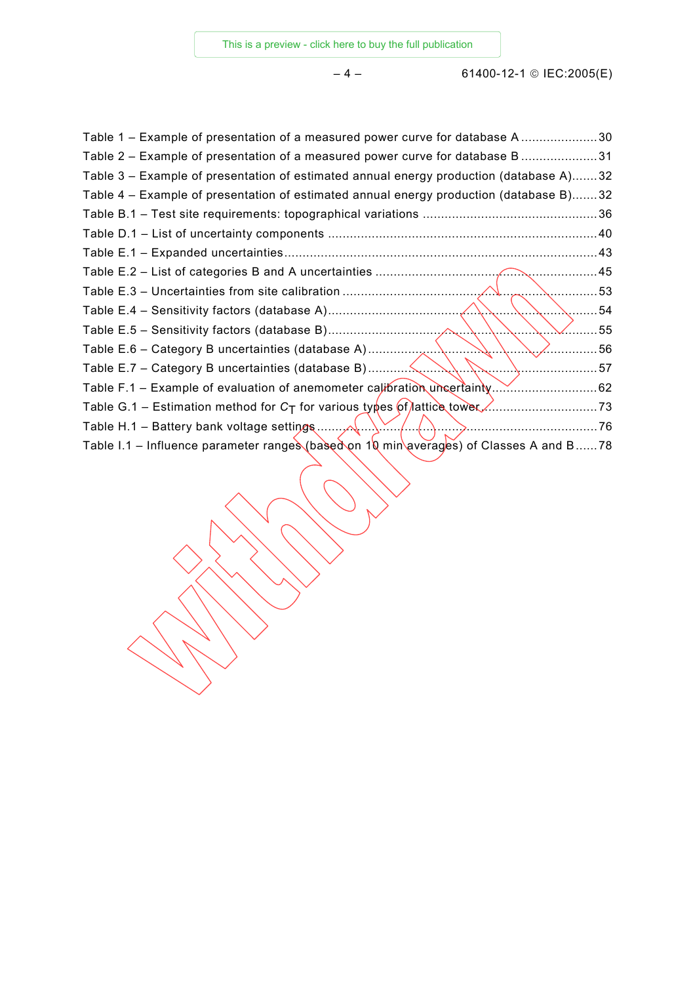$-4 - 61400 - 12 - 1 \odot \text{IEC:}2005(E)$ 

| Table 1 – Example of presentation of a measured power curve for database A 30          |    |
|----------------------------------------------------------------------------------------|----|
| Table 2 – Example of presentation of a measured power curve for database B 31          |    |
| Table 3 – Example of presentation of estimated annual energy production (database A)32 |    |
| Table 4 – Example of presentation of estimated annual energy production (database B)32 |    |
|                                                                                        |    |
|                                                                                        |    |
| 43                                                                                     |    |
|                                                                                        |    |
|                                                                                        | 53 |
|                                                                                        | 54 |
|                                                                                        | 55 |
| Table E.6 - Category B uncertainties (database A)                                      | 56 |
| Table E.7 - Category B uncertainties (database B)                                      | 57 |
| Table F.1 - Example of evaluation of anemometer calibration uncertainty.<br>. 62       |    |
|                                                                                        |    |
|                                                                                        |    |
| Table I.1 - Influence parameter ranges (based on 10 min averages) of Classes A and B78 |    |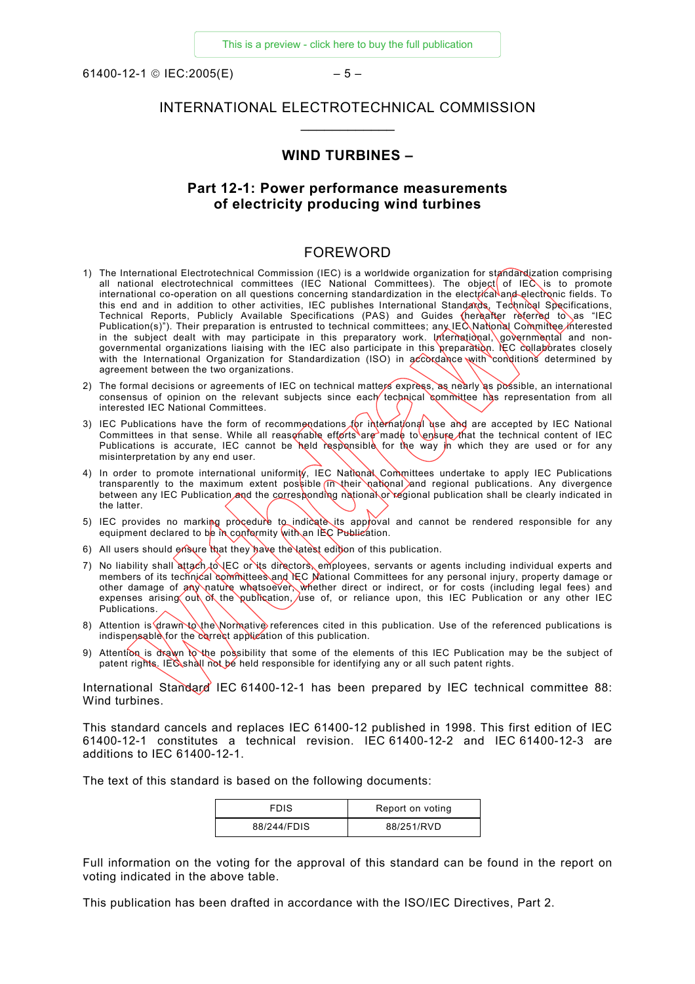61400-12-1 © IEC:2005(E) – 5 –

### INTERNATIONAL ELECTROTECHNICAL COMMISSION  $\frac{1}{2}$

#### **WIND TURBINES –**

# **Part 12-1: Power performance measurements of electricity producing wind turbines**

#### FOREWORD

- 1) The International Electrotechnical Commission (IEC) is a worldwide organization for standardization comprising all national electrotechnical committees (IEC National Committees). The object of IEC is to promote international co-operation on all questions concerning standardization in the electrical and electronic fields. To this end and in addition to other activities, IEC publishes International Standards, Technical Specifications, Technical Reports, Publicly Available Specifications (PAS) and Guides (hereafter reterred to as "IEC Publication(s)"). Their preparation is entrusted to technical committees; any IEC National Committee interested in the subject dealt with may participate in this preparatory work. International, governmental and nongovernmental organizations liaising with the IEC also participate in this preparation. IEC collaborates closely with the International Organization for Standardization (ISO) in accordance with conditions determined by agreement between the two organizations.
- 2) The formal decisions or agreements of IEC on technical matters express, as nearly as possible, an international consensus of opinion on the relevant subjects since each technical committee has representation from all interested IEC National Committees.
- 3) IEC Publications have the form of recommendations for international use and are accepted by IEC National Committees in that sense. While all reasonable efforts are made to ensure that the technical content of IEC Publications is accurate, IEC cannot be held responsible for the way in which they are used or for any misinterpretation by any end user.
- 4) In order to promote international uniformity, IEC National Committees undertake to apply IEC Publications transparently to the maximum extent possible *in* their national and regional publications. Any divergence between any IEC Publication and the corresponding national or regional publication shall be clearly indicated in the latter.
- 5) IEC provides no marking procedure to indicate its approval and cannot be rendered responsible for any equipment declared to be in conformity with an IEC Publication.
- 6) All users should ensure that they have the latest edition of this publication.
- 7) No liability shall attach to IEC or its directors, employees, servants or agents including individual experts and members of its technical committees and IEC National Committees for any personal injury, property damage or other damage of any nature whatsoever, whether direct or indirect, or for costs (including legal fees) and expenses arising out of the publication, use of, or reliance upon, this IEC Publication or any other IEC Publications.
- 8) Attention is drawn to the Normative references cited in this publication. Use of the referenced publications is indispensable for the correct application of this publication.
- 9) Attention is drawn to the possibility that some of the elements of this IEC Publication may be the subject of patent rights. IEC shall not be held responsible for identifying any or all such patent rights.

International Standard IEC 61400-12-1 has been prepared by IEC technical committee 88: Wind turbines.

This standard cancels and replaces IEC 61400-12 published in 1998. This first edition of IEC 61400-12-1 constitutes a technical revision. IEC 61400-12-2 and IEC 61400-12-3 are additions to IEC 61400-12-1.

The text of this standard is based on the following documents:

| FDIS        | Report on voting |
|-------------|------------------|
| 88/244/FDIS | 88/251/RVD       |

Full information on the voting for the approval of this standard can be found in the report on voting indicated in the above table.

This publication has been drafted in accordance with the ISO/IEC Directives, Part 2.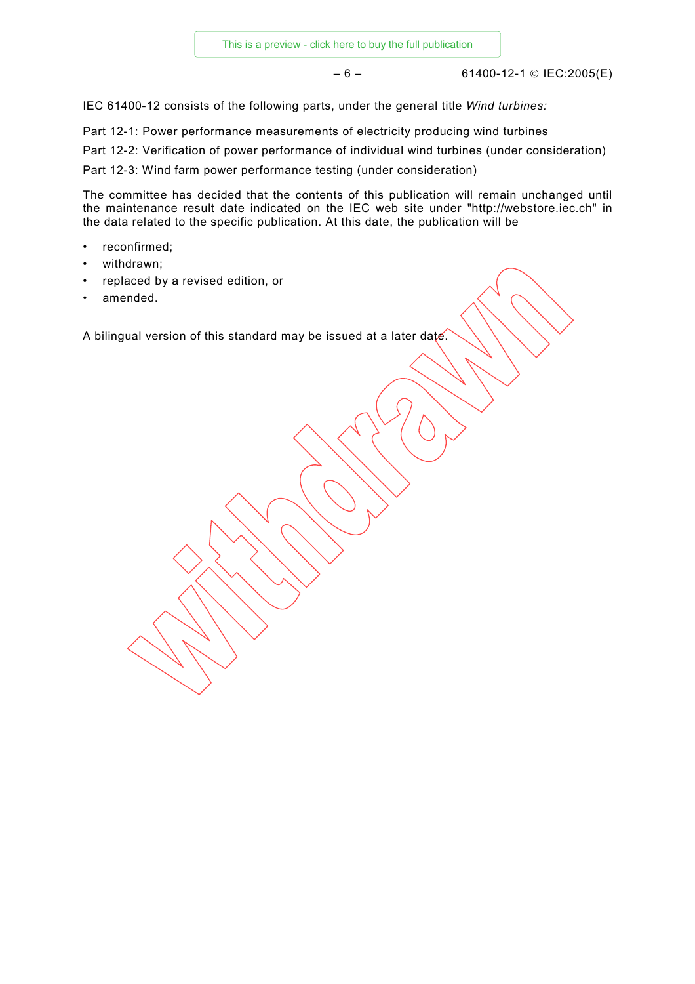$-6 - 61400 - 12 - 1 \odot 1E$ C:2005(E)

IEC 61400-12 consists of the following parts, under the general title *Wind turbines:* 

Part 12-1: Power performance measurements of electricity producing wind turbines

Part 12-2: Verification of power performance of individual wind turbines (under consideration)

Part 12-3: Wind farm power performance testing (under consideration)

The committee has decided that the contents of this publication will remain unchanged until the maintenance result date indicated on the IEC web site under "http://webstore.iec.ch" in the data related to the specific publication. At this date, the publication will be

- reconfirmed;
- withdrawn;
- replaced by a revised edition, or
- amended.

A bilingual version of this standard may be issued at a later date.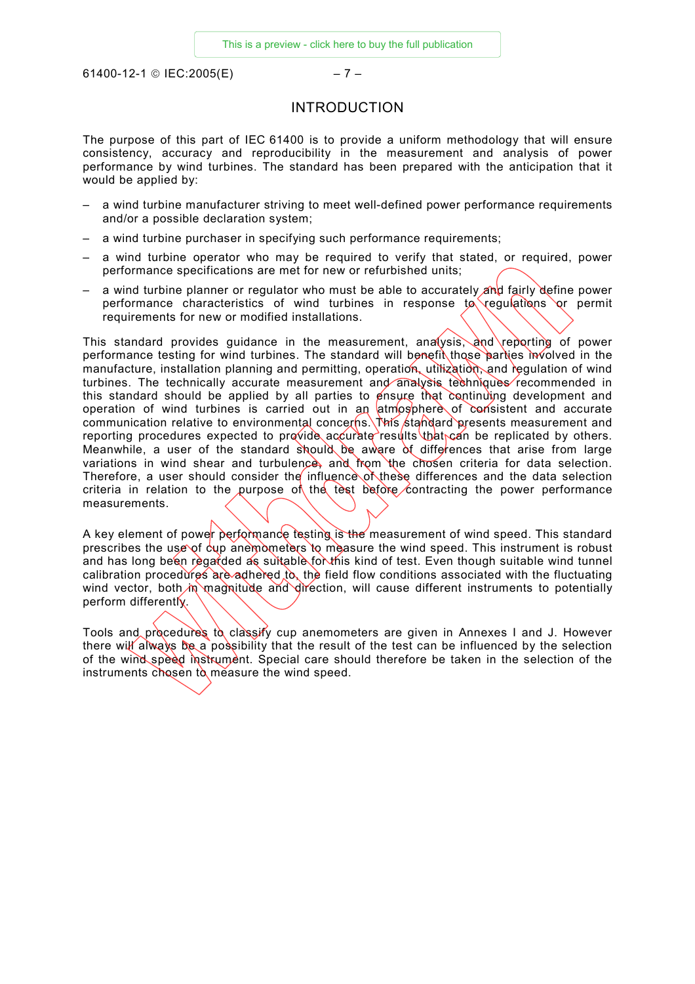61400-12-1 © IEC:2005(E) – 7 –

#### INTRODUCTION

The purpose of this part of IEC 61400 is to provide a uniform methodology that will ensure consistency, accuracy and reproducibility in the measurement and analysis of power performance by wind turbines. The standard has been prepared with the anticipation that it would be applied by:

- a wind turbine manufacturer striving to meet well-defined power performance requirements and/or a possible declaration system;
- a wind turbine purchaser in specifying such performance requirements;
- a wind turbine operator who may be required to verify that stated, or required, power performance specifications are met for new or refurbished units;
- a wind turbine planner or regulator who must be able to accurately and fairly define power performance characteristics of wind turbines in response to regulations or permit requirements for new or modified installations.

This standard provides guidance in the measurement, analysis, and reporting of power performance testing for wind turbines. The standard will benefit those parties involved in the manufacture, installation planning and permitting, operation, utilization, and regulation of wind turbines. The technically accurate measurement and analysis techniques recommended in this standard should be applied by all parties to ensure that continuing development and operation of wind turbines is carried out in an  $atm \rho s'$  phere of consistent and accurate communication relative to environmental concerns. This standard presents measurement and reporting procedures expected to provide accurate results that can be replicated by others. Meanwhile, a user of the standard should be aware of differences that arise from large variations in wind shear and turbulence, and from the chosen criteria for data selection. Therefore, a user should consider the influence of these differences and the data selection criteria in relation to the purpose of the test before contracting the power performance measurements.

A key element of power performance testing is the measurement of wind speed. This standard prescribes the use of cup anemometers to measure the wind speed. This instrument is robust and has long been regarded as suitable for this kind of test. Even though suitable wind tunnel calibration procedures are adhered to, the field flow conditions associated with the fluctuating wind vector, both in magnitude and direction, will cause different instruments to potentially perform differently.

Tools and procedures to classify cup anemometers are given in Annexes I and J. However there will always be a possibility that the result of the test can be influenced by the selection of the wind speed instrument. Special care should therefore be taken in the selection of the instruments chosen to measure the wind speed.